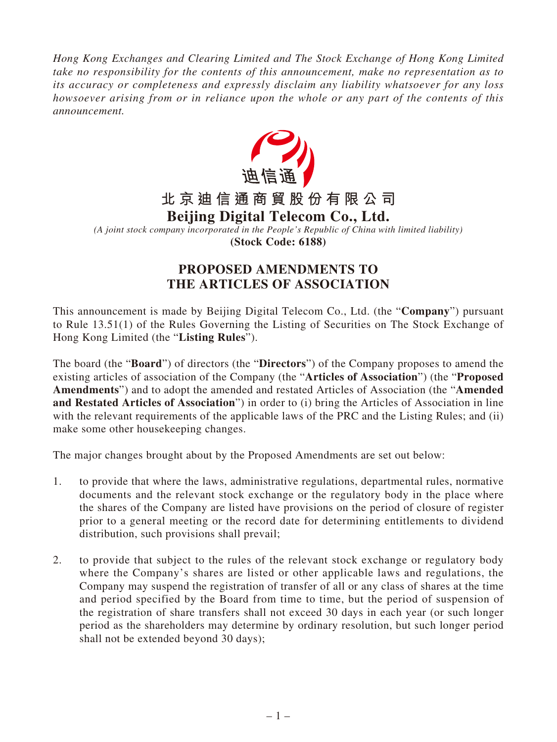*Hong Kong Exchanges and Clearing Limited and The Stock Exchange of Hong Kong Limited take no responsibility for the contents of this announcement, make no representation as to its accuracy or completeness and expressly disclaim any liability whatsoever for any loss howsoever arising from or in reliance upon the whole or any part of the contents of this announcement.*



## **PROPOSED AMENDMENTS TO THE ARTICLES OF ASSOCIATION**

This announcement is made by Beijing Digital Telecom Co., Ltd. (the "**Company**") pursuant to Rule 13.51(1) of the Rules Governing the Listing of Securities on The Stock Exchange of Hong Kong Limited (the "**Listing Rules**").

The board (the "**Board**") of directors (the "**Directors**") of the Company proposes to amend the existing articles of association of the Company (the "**Articles of Association**") (the "**Proposed Amendments**") and to adopt the amended and restated Articles of Association (the "**Amended and Restated Articles of Association**") in order to (i) bring the Articles of Association in line with the relevant requirements of the applicable laws of the PRC and the Listing Rules; and (ii) make some other housekeeping changes.

The major changes brought about by the Proposed Amendments are set out below:

- 1. to provide that where the laws, administrative regulations, departmental rules, normative documents and the relevant stock exchange or the regulatory body in the place where the shares of the Company are listed have provisions on the period of closure of register prior to a general meeting or the record date for determining entitlements to dividend distribution, such provisions shall prevail;
- 2. to provide that subject to the rules of the relevant stock exchange or regulatory body where the Company's shares are listed or other applicable laws and regulations, the Company may suspend the registration of transfer of all or any class of shares at the time and period specified by the Board from time to time, but the period of suspension of the registration of share transfers shall not exceed 30 days in each year (or such longer period as the shareholders may determine by ordinary resolution, but such longer period shall not be extended beyond 30 days);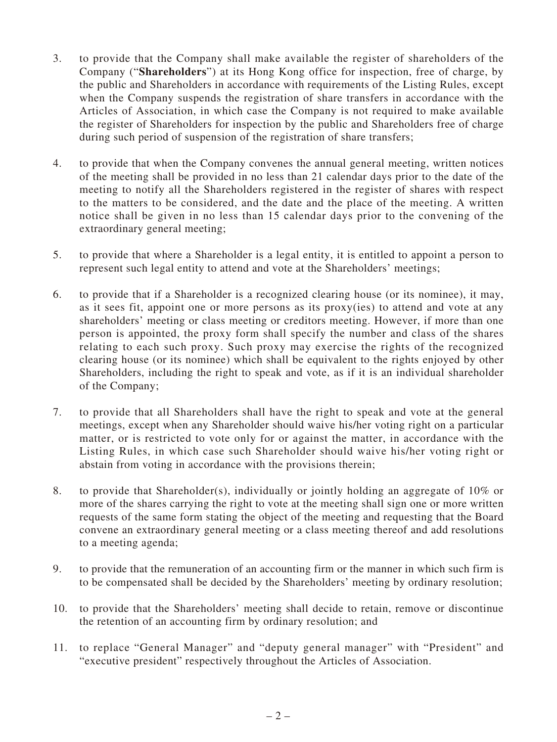- 3. to provide that the Company shall make available the register of shareholders of the Company ("**Shareholders**") at its Hong Kong office for inspection, free of charge, by the public and Shareholders in accordance with requirements of the Listing Rules, except when the Company suspends the registration of share transfers in accordance with the Articles of Association, in which case the Company is not required to make available the register of Shareholders for inspection by the public and Shareholders free of charge during such period of suspension of the registration of share transfers;
- 4. to provide that when the Company convenes the annual general meeting, written notices of the meeting shall be provided in no less than 21 calendar days prior to the date of the meeting to notify all the Shareholders registered in the register of shares with respect to the matters to be considered, and the date and the place of the meeting. A written notice shall be given in no less than 15 calendar days prior to the convening of the extraordinary general meeting;
- 5. to provide that where a Shareholder is a legal entity, it is entitled to appoint a person to represent such legal entity to attend and vote at the Shareholders' meetings;
- 6. to provide that if a Shareholder is a recognized clearing house (or its nominee), it may, as it sees fit, appoint one or more persons as its proxy(ies) to attend and vote at any shareholders' meeting or class meeting or creditors meeting. However, if more than one person is appointed, the proxy form shall specify the number and class of the shares relating to each such proxy. Such proxy may exercise the rights of the recognized clearing house (or its nominee) which shall be equivalent to the rights enjoyed by other Shareholders, including the right to speak and vote, as if it is an individual shareholder of the Company;
- 7. to provide that all Shareholders shall have the right to speak and vote at the general meetings, except when any Shareholder should waive his/her voting right on a particular matter, or is restricted to vote only for or against the matter, in accordance with the Listing Rules, in which case such Shareholder should waive his/her voting right or abstain from voting in accordance with the provisions therein;
- 8. to provide that Shareholder(s), individually or jointly holding an aggregate of 10% or more of the shares carrying the right to vote at the meeting shall sign one or more written requests of the same form stating the object of the meeting and requesting that the Board convene an extraordinary general meeting or a class meeting thereof and add resolutions to a meeting agenda;
- 9. to provide that the remuneration of an accounting firm or the manner in which such firm is to be compensated shall be decided by the Shareholders' meeting by ordinary resolution;
- 10. to provide that the Shareholders' meeting shall decide to retain, remove or discontinue the retention of an accounting firm by ordinary resolution; and
- 11. to replace "General Manager" and "deputy general manager" with "President" and "executive president" respectively throughout the Articles of Association.